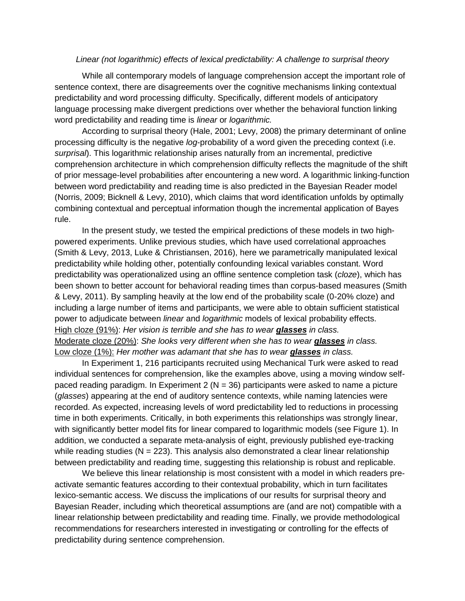## *Linear (not logarithmic) effects of lexical predictability: A challenge to surprisal theory*

While all contemporary models of language comprehension accept the important role of sentence context, there are disagreements over the cognitive mechanisms linking contextual predictability and word processing difficulty. Specifically, different models of anticipatory language processing make divergent predictions over whether the behavioral function linking word predictability and reading time is *linear* or *logarithmic.* 

According to surprisal theory (Hale, 2001; Levy, 2008) the primary determinant of online processing difficulty is the negative *log*-probability of a word given the preceding context (i.e. *surprisal*). This logarithmic relationship arises naturally from an incremental, predictive comprehension architecture in which comprehension difficulty reflects the magnitude of the shift of prior message-level probabilities after encountering a new word. A logarithmic linking-function between word predictability and reading time is also predicted in the Bayesian Reader model (Norris, 2009; Bicknell & Levy, 2010), which claims that word identification unfolds by optimally combining contextual and perceptual information though the incremental application of Bayes rule.

In the present study, we tested the empirical predictions of these models in two highpowered experiments. Unlike previous studies, which have used correlational approaches (Smith & Levy, 2013, Luke & Christiansen, 2016), here we parametrically manipulated lexical predictability while holding other, potentially confounding lexical variables constant. Word predictability was operationalized using an offline sentence completion task (*cloze*), which has been shown to better account for behavioral reading times than corpus-based measures (Smith & Levy, 2011). By sampling heavily at the low end of the probability scale (0-20% cloze) and including a large number of items and participants, we were able to obtain sufficient statistical power to adjudicate between *linear* and *logarithmic* models of lexical probability effects. High cloze (91%): *Her vision is terrible and she has to wear glasses in class.* Moderate cloze (20%): *She looks very different when she has to wear glasses in class.* Low cloze (1%): *Her mother was adamant that she has to wear glasses in class.*

In Experiment 1, 216 participants recruited using Mechanical Turk were asked to read individual sentences for comprehension, like the examples above, using a moving window selfpaced reading paradigm. In Experiment  $2 (N = 36)$  participants were asked to name a picture (*glasses*) appearing at the end of auditory sentence contexts, while naming latencies were recorded. As expected, increasing levels of word predictability led to reductions in processing time in both experiments. Critically, in both experiments this relationships was strongly linear, with significantly better model fits for linear compared to logarithmic models (see Figure 1). In addition, we conducted a separate meta-analysis of eight, previously published eye-tracking while reading studies ( $N = 223$ ). This analysis also demonstrated a clear linear relationship between predictability and reading time, suggesting this relationship is robust and replicable.

We believe this linear relationship is most consistent with a model in which readers preactivate semantic features according to their contextual probability, which in turn facilitates lexico-semantic access. We discuss the implications of our results for surprisal theory and Bayesian Reader, including which theoretical assumptions are (and are not) compatible with a linear relationship between predictability and reading time. Finally, we provide methodological recommendations for researchers interested in investigating or controlling for the effects of predictability during sentence comprehension.